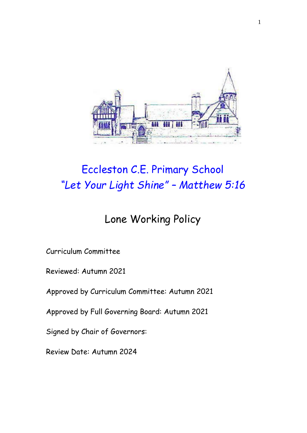

# Eccleston C.E. Primary School *"Let Your Light Shine" – Matthew 5:16*

## Lone Working Policy

Curriculum Committee

Reviewed: Autumn 2021

Approved by Curriculum Committee: Autumn 2021

Approved by Full Governing Board: Autumn 2021

Signed by Chair of Governors:

Review Date: Autumn 2024